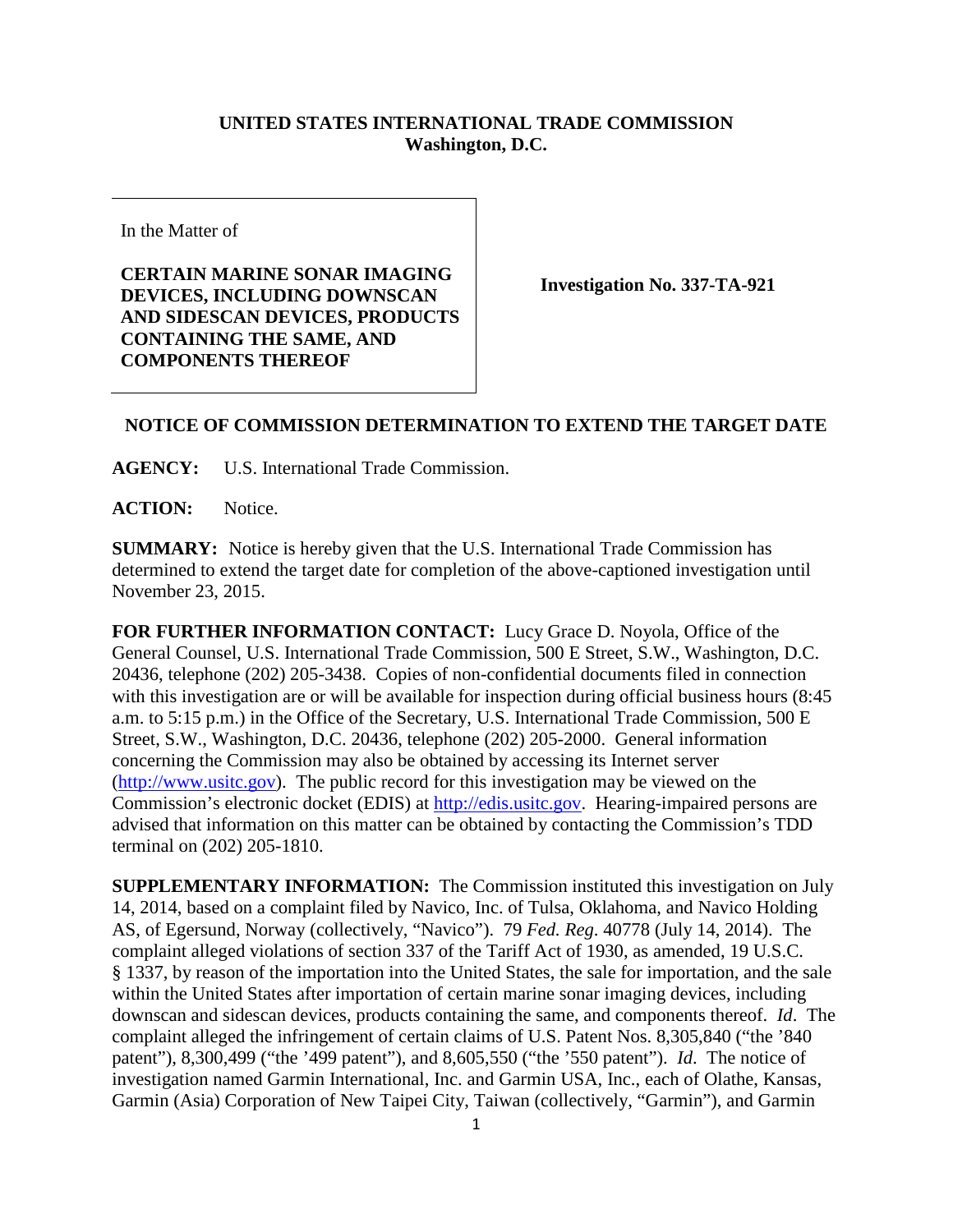## **UNITED STATES INTERNATIONAL TRADE COMMISSION Washington, D.C.**

In the Matter of

**CERTAIN MARINE SONAR IMAGING DEVICES, INCLUDING DOWNSCAN AND SIDESCAN DEVICES, PRODUCTS CONTAINING THE SAME, AND COMPONENTS THEREOF**

**Investigation No. 337-TA-921**

## **NOTICE OF COMMISSION DETERMINATION TO EXTEND THE TARGET DATE**

**AGENCY:** U.S. International Trade Commission.

**ACTION:** Notice.

**SUMMARY:** Notice is hereby given that the U.S. International Trade Commission has determined to extend the target date for completion of the above-captioned investigation until November 23, 2015.

**FOR FURTHER INFORMATION CONTACT:** Lucy Grace D. Noyola, Office of the General Counsel, U.S. International Trade Commission, 500 E Street, S.W., Washington, D.C. 20436, telephone (202) 205-3438. Copies of non-confidential documents filed in connection with this investigation are or will be available for inspection during official business hours  $(8:45)$ a.m. to 5:15 p.m.) in the Office of the Secretary, U.S. International Trade Commission, 500 E Street, S.W., Washington, D.C. 20436, telephone (202) 205-2000. General information concerning the Commission may also be obtained by accessing its Internet server [\(http://www.usitc.gov\)](http://www.usitc.gov/). The public record for this investigation may be viewed on the Commission's electronic docket (EDIS) at [http://edis.usitc.gov.](http://edis.usitc.gov/) Hearing-impaired persons are advised that information on this matter can be obtained by contacting the Commission's TDD terminal on (202) 205-1810.

**SUPPLEMENTARY INFORMATION:** The Commission instituted this investigation on July 14, 2014, based on a complaint filed by Navico, Inc. of Tulsa, Oklahoma, and Navico Holding AS, of Egersund, Norway (collectively, "Navico"). 79 *Fed. Reg*. 40778 (July 14, 2014). The complaint alleged violations of section 337 of the Tariff Act of 1930, as amended, 19 U.S.C. § 1337, by reason of the importation into the United States, the sale for importation, and the sale within the United States after importation of certain marine sonar imaging devices, including downscan and sidescan devices, products containing the same, and components thereof. *Id*. The complaint alleged the infringement of certain claims of U.S. Patent Nos. 8,305,840 ("the '840 patent"), 8,300,499 ("the '499 patent"), and 8,605,550 ("the '550 patent"). *Id*. The notice of investigation named Garmin International, Inc. and Garmin USA, Inc., each of Olathe, Kansas, Garmin (Asia) Corporation of New Taipei City, Taiwan (collectively, "Garmin"), and Garmin